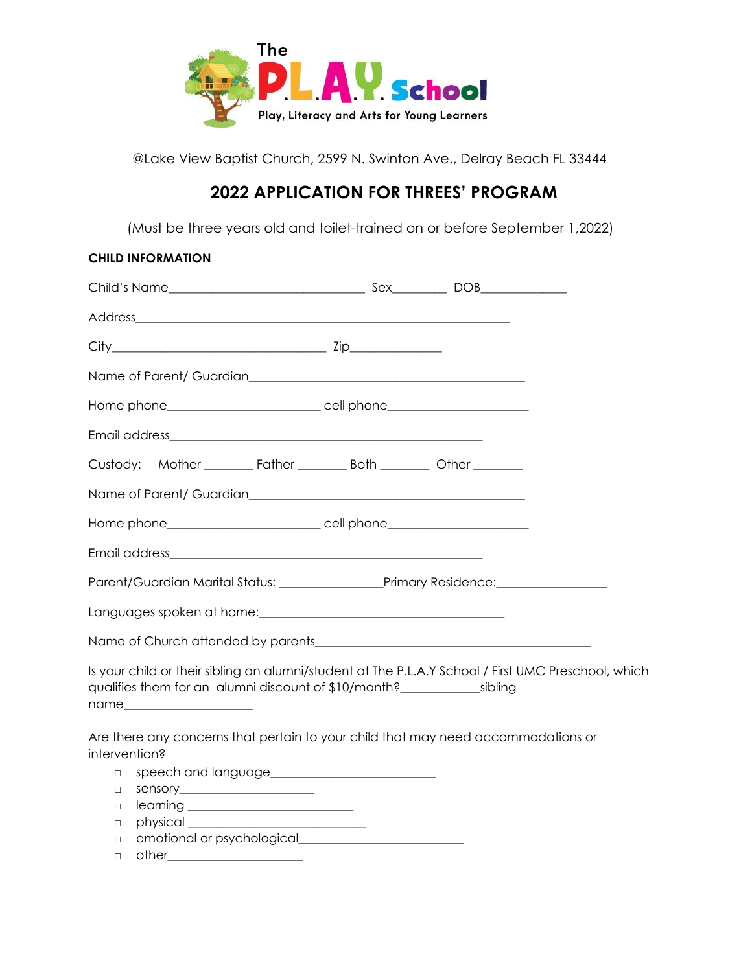

@Lake View Baptist Church, 2599 N. Swinton Ave., Delray Beach FL 33444

## **2022 APPLICATION FOR THREES' PROGRAM**

(Must be three years old and toilet-trained on or before September 1,2022)

|               | <b>CHILD INFORMATION</b>                                                                                                                                                                                                                                                                          |                                                                                                     |
|---------------|---------------------------------------------------------------------------------------------------------------------------------------------------------------------------------------------------------------------------------------------------------------------------------------------------|-----------------------------------------------------------------------------------------------------|
|               |                                                                                                                                                                                                                                                                                                   |                                                                                                     |
|               |                                                                                                                                                                                                                                                                                                   |                                                                                                     |
|               |                                                                                                                                                                                                                                                                                                   |                                                                                                     |
|               |                                                                                                                                                                                                                                                                                                   |                                                                                                     |
|               |                                                                                                                                                                                                                                                                                                   |                                                                                                     |
|               |                                                                                                                                                                                                                                                                                                   |                                                                                                     |
|               | Custody: Mother __________ Father __________ Both _________ Other ________                                                                                                                                                                                                                        |                                                                                                     |
|               |                                                                                                                                                                                                                                                                                                   |                                                                                                     |
|               | Home phone________________________________cell phone____________________________                                                                                                                                                                                                                  |                                                                                                     |
|               |                                                                                                                                                                                                                                                                                                   |                                                                                                     |
|               |                                                                                                                                                                                                                                                                                                   |                                                                                                     |
|               | Languages spoken at home: Languages spoken at home:                                                                                                                                                                                                                                               |                                                                                                     |
|               |                                                                                                                                                                                                                                                                                                   |                                                                                                     |
|               | qualifies them for an alumni discount of \$10/month?<br>sibling<br>name and the contract of the contract of the contract of the contract of the contract of the contract of the contract of the contract of the contract of the contract of the contract of the contract of the contract of the c | Is your child or their sibling an alumni/student at The P.L.A.Y School / First UMC Preschool, which |
| intervention? | Are there any concerns that pertain to your child that may need accommodations or                                                                                                                                                                                                                 |                                                                                                     |
| $\Box$        |                                                                                                                                                                                                                                                                                                   |                                                                                                     |
| $\Box$        |                                                                                                                                                                                                                                                                                                   |                                                                                                     |
| $\Box$        |                                                                                                                                                                                                                                                                                                   |                                                                                                     |
| $\Box$        |                                                                                                                                                                                                                                                                                                   |                                                                                                     |
| $\Box$        |                                                                                                                                                                                                                                                                                                   |                                                                                                     |
| $\Box$        | other <u>contracts</u>                                                                                                                                                                                                                                                                            |                                                                                                     |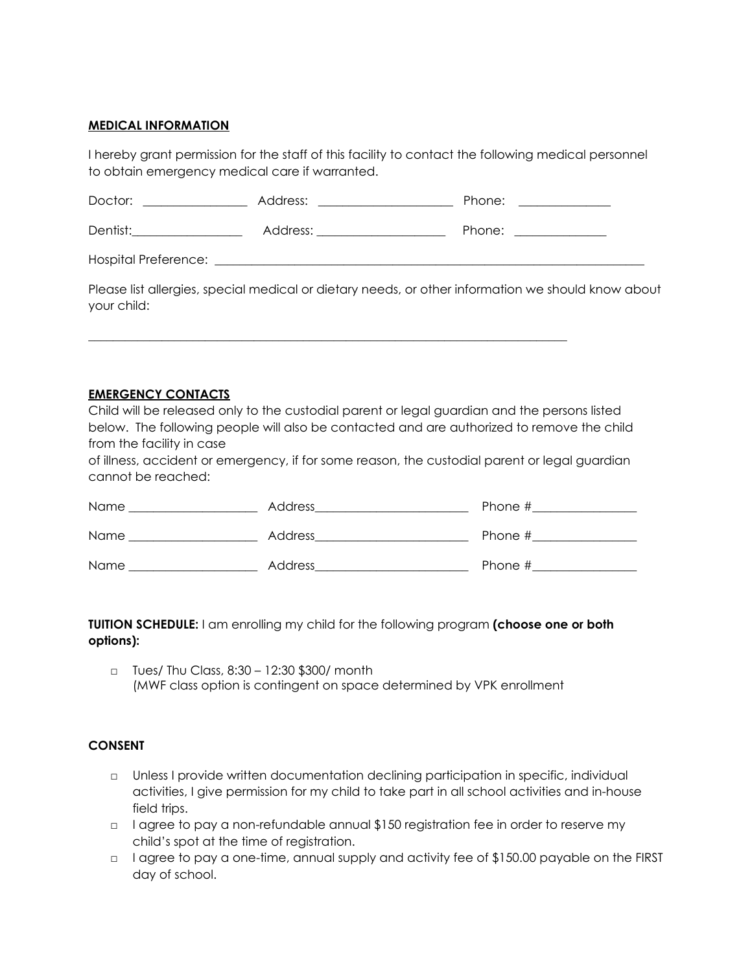## **MEDICAL INFORMATION**

I hereby grant permission for the staff of this facility to contact the following medical personnel to obtain emergency medical care if warranted.

| Doctor:                     | Address: | Phone: |
|-----------------------------|----------|--------|
| Dentist:                    | Address: | Phone: |
| <b>Hospital Preference:</b> |          |        |

\_\_\_\_\_\_\_\_\_\_\_\_\_\_\_\_\_\_\_\_\_\_\_\_\_\_\_\_\_\_\_\_\_\_\_\_\_\_\_\_\_\_\_\_\_\_\_\_\_\_\_\_\_\_\_\_\_\_\_\_\_\_\_\_\_\_\_\_\_\_\_\_\_\_\_\_\_\_

Please list allergies, special medical or dietary needs, or other information we should know about your child:

## **EMERGENCY CONTACTS**

Child will be released only to the custodial parent or legal guardian and the persons listed below. The following people will also be contacted and are authorized to remove the child from the facility in case

of illness, accident or emergency, if for some reason, the custodial parent or legal guardian cannot be reached:

| Name | Address | Phone # |
|------|---------|---------|
| Name | Address | Phone # |
| Name | Address | Phone # |

**TUITION SCHEDULE:** I am enrolling my child for the following program **(choose one or both options):**

□ Tues/ Thu Class, 8:30 – 12:30 \$300/ month (MWF class option is contingent on space determined by VPK enrollment

## **CONSENT**

- □ Unless I provide written documentation declining participation in specific, individual activities, I give permission for my child to take part in all school activities and in-house field trips.
- □ I agree to pay a non-refundable annual \$150 registration fee in order to reserve my child's spot at the time of registration.
- □ lagree to pay a one-time, annual supply and activity fee of \$150.00 payable on the FIRST day of school.